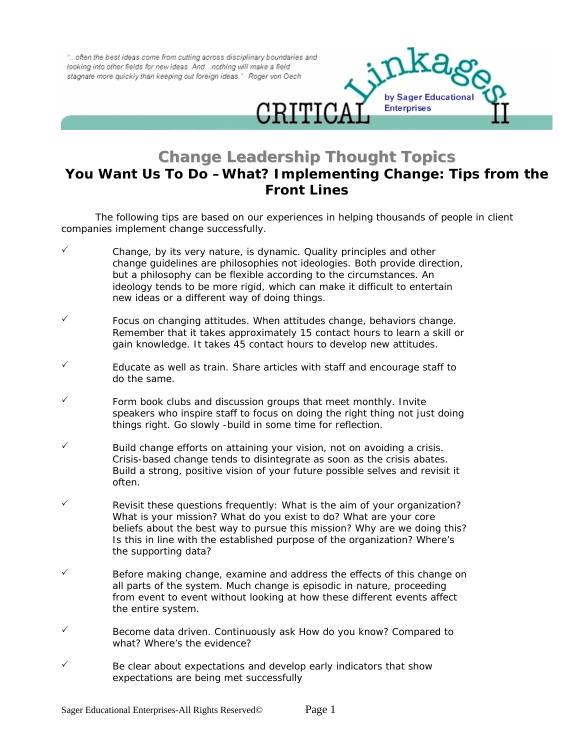"...often the best ideas come from cutting across disciplinary boundaries and looking into other fields for new ideas. And ... nothing will make a field stagnate more quickly than keeping out foreign ideas." Roger von Oech



## **Change Leadership Thought Topics You Want Us To Do –What? Implementing Change: Tips from the Front Lines**

The following tips are based on our experiences in helping thousands of people in client companies implement change successfully.

- $\checkmark$  Change, by its very nature, is dynamic. Quality principles and other change guidelines are philosophies not ideologies. Both provide direction, but a philosophy can be flexible according to the circumstances. An ideology tends to be more rigid, which can make it difficult to entertain new ideas or a different way of doing things.
- Focus on changing attitudes. When attitudes change, behaviors change. Remember that it takes approximately 15 contact hours to learn a skill or gain knowledge. It takes 45 contact hours to develop new attitudes.
- 3 Educate as well as train. Share articles with staff and encourage staff to do the same.
- Form book clubs and discussion groups that meet monthly. Invite speakers who inspire staff to focus on doing the right thing not just doing things right. Go slowly -build in some time for reflection.
- Build change efforts on attaining your vision, not on avoiding a crisis. Crisis-based change tends to disintegrate as soon as the crisis abates. Build a strong, positive vision of your future possible selves and revisit it often.
- Revisit these questions frequently: What is the aim of your organization? What is your mission? What do you exist to do? What are your core beliefs about the best way to pursue this mission? Why are we doing this? Is this in line with the established purpose of the organization? Where's the supporting data?
- Before making change, examine and address the effects of this change on all parts of the system. Much change is episodic in nature, proceeding from event to event without looking at how these different events affect the entire system.
- Become data driven. Continuously ask How do you know? Compared to what? Where's the evidence?
- Be clear about expectations and develop early indicators that show expectations are being met successfully